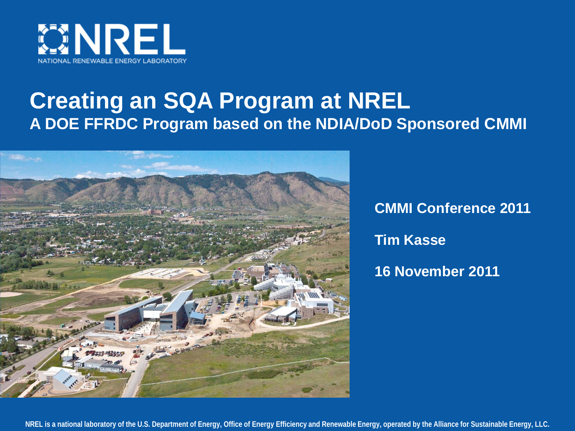

### **Creating an SQA Program at NREL A DOE FFRDC Program based on the NDIA/DoD Sponsored CMMI**



**CMMI Conference 2011 Tim Kasse 16 November 2011**

**NREL is a national laboratory of the U.S. Department of Energy, Office of Energy Efficiency and Renewable Energy, operated by the Alliance for Sustainable Energy, LLC.**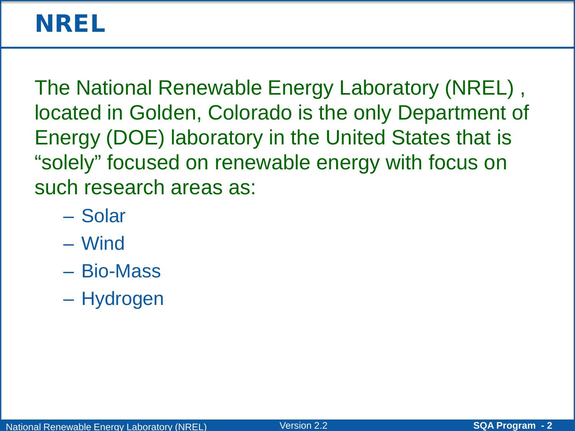## NREL

The National Renewable Energy Laboratory (NREL) , located in Golden, Colorado is the only Department of Energy (DOE) laboratory in the United States that is "solely" focused on renewable energy with focus on such research areas as:

- Solar
- Wind
- Bio-Mass
- Hydrogen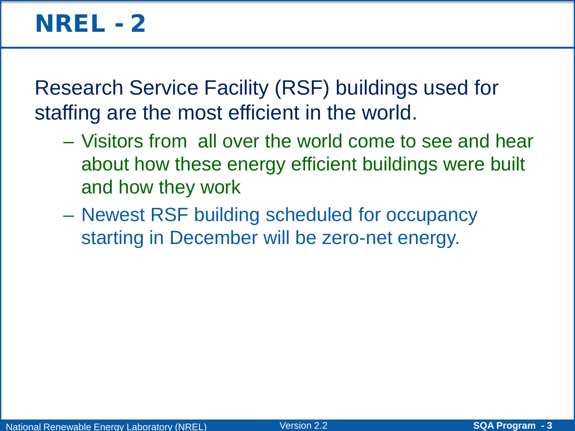### **NREL - 2**

Research Service Facility (RSF) buildings used for staffing are the most efficient in the world.

- Visitors from all over the world come to see and hear about how these energy efficient buildings were built and how they work
- Newest RSF building scheduled for occupancy starting in December will be zero-net energy.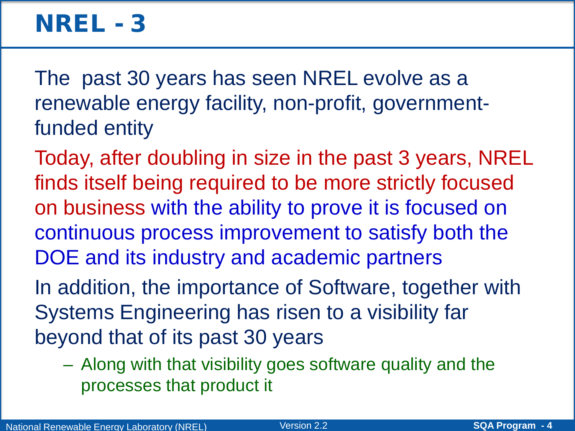### NREL - 3

The past 30 years has seen NREL evolve as a renewable energy facility, non-profit, governmentfunded entity

Today, after doubling in size in the past 3 years, NREL finds itself being required to be more strictly focused on business with the ability to prove it is focused on continuous process improvement to satisfy both the DOE and its industry and academic partners

In addition, the importance of Software, together with Systems Engineering has risen to a visibility far beyond that of its past 30 years

– Along with that visibility goes software quality and the processes that product it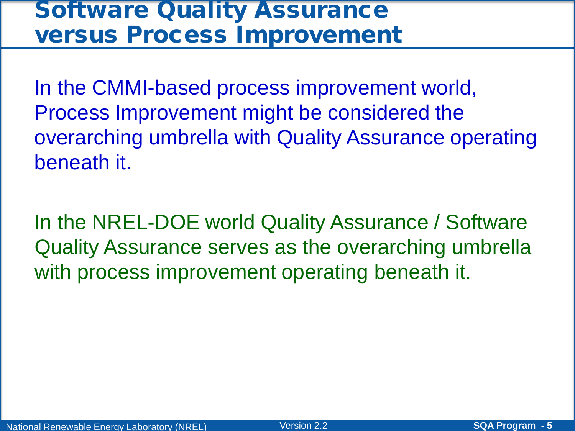### **Software Quality Assurance** versus Process Improvement

In the CMMI-based process improvement world, Process Improvement might be considered the overarching umbrella with Quality Assurance operating beneath it.

In the NREL-DOE world Quality Assurance / Software Quality Assurance serves as the overarching umbrella with process improvement operating beneath it.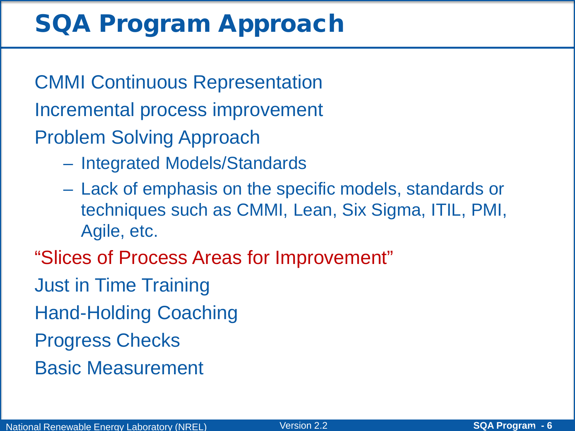# SQA Program Approach

CMMI Continuous Representation Incremental process improvement Problem Solving Approach

- Integrated Models/Standards
- Lack of emphasis on the specific models, standards or techniques such as CMMI, Lean, Six Sigma, ITIL, PMI, Agile, etc.
- "Slices of Process Areas for Improvement"
- Just in Time Training
- Hand-Holding Coaching
- Progress Checks
- Basic Measurement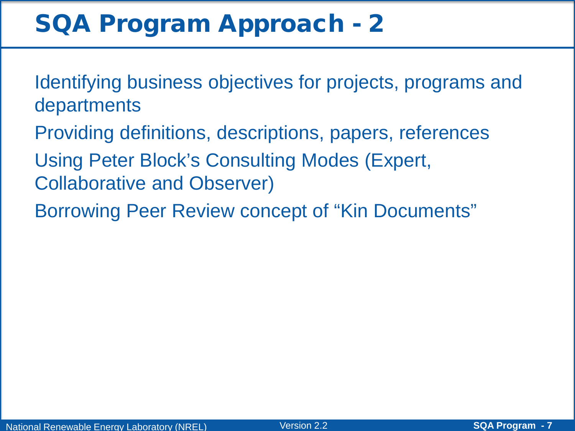# SQA Program Approach - 2

- Identifying business objectives for projects, programs and departments
- Providing definitions, descriptions, papers, references
- Using Peter Block's Consulting Modes (Expert, Collaborative and Observer)
- Borrowing Peer Review concept of "Kin Documents"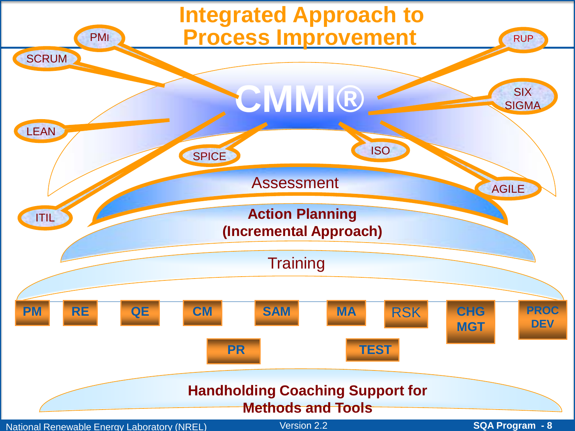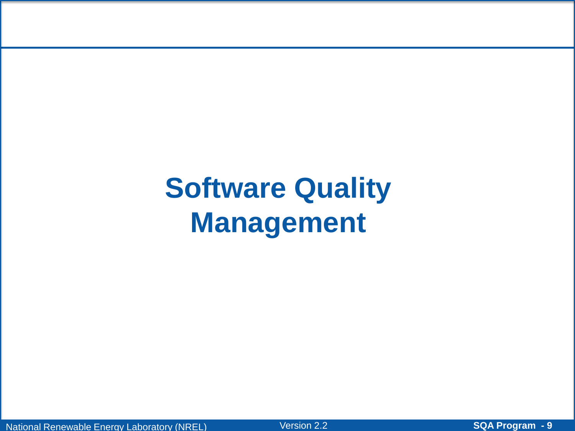# **Software Quality Management**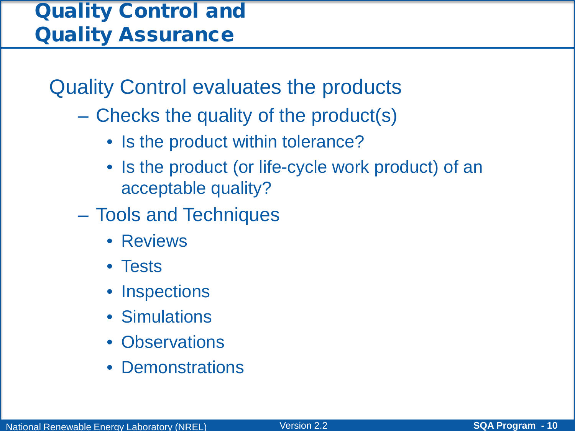### Quality Control and Quality Assurance

Quality Control evaluates the products

- Checks the quality of the product(s)
	- Is the product within tolerance?
	- Is the product (or life-cycle work product) of an acceptable quality?
- Tools and Techniques
	- Reviews
	- Tests
	- Inspections
	- Simulations
	- Observations
	- **Demonstrations**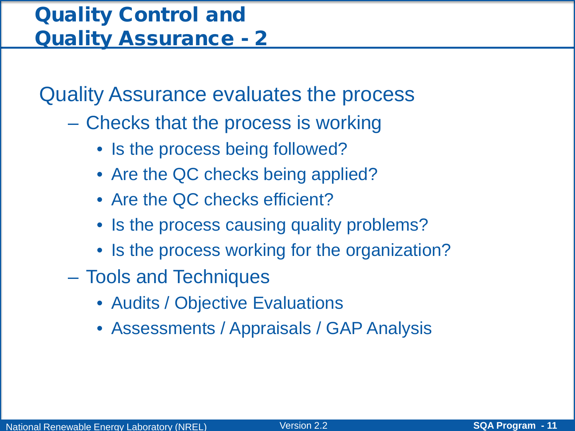### Quality Control and Quality Assurance - 2

Quality Assurance evaluates the process

- Checks that the process is working
	- Is the process being followed?
	- Are the QC checks being applied?
	- Are the QC checks efficient?
	- Is the process causing quality problems?
	- Is the process working for the organization?
- Tools and Techniques
	- Audits / Objective Evaluations
	- Assessments / Appraisals / GAP Analysis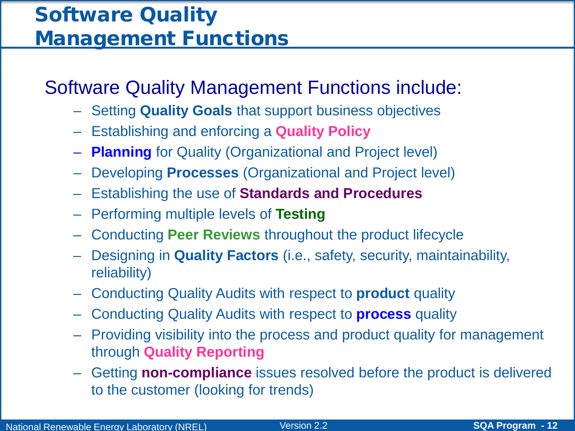### Software Quality Management Functions

### Software Quality Management Functions include:

- Setting **Quality Goals** that support business objectives
- Establishing and enforcing a **Quality Policy**
- **Planning** for Quality (Organizational and Project level)
- Developing **Processes** (Organizational and Project level)
- Establishing the use of **Standards and Procedures**
- Performing multiple levels of **Testing**
- Conducting **Peer Reviews** throughout the product lifecycle
- Designing in **Quality Factors** (i.e., safety, security, maintainability, reliability)
- Conducting Quality Audits with respect to **product** quality
- Conducting Quality Audits with respect to **process** quality
- Providing visibility into the process and product quality for management through **Quality Reporting**
- Getting **non-compliance** issues resolved before the product is delivered to the customer (looking for trends)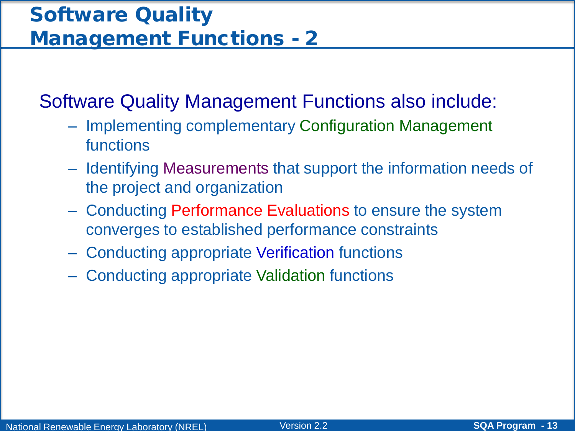### Software Quality Management Functions - 2

Software Quality Management Functions also include:

- Implementing complementary Configuration Management functions
- Identifying Measurements that support the information needs of the project and organization
- Conducting Performance Evaluations to ensure the system converges to established performance constraints
- Conducting appropriate Verification functions
- Conducting appropriate Validation functions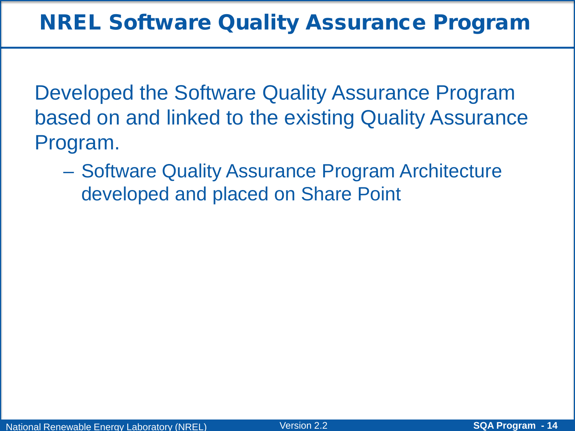Developed the Software Quality Assurance Program based on and linked to the existing Quality Assurance Program.

– Software Quality Assurance Program Architecture developed and placed on Share Point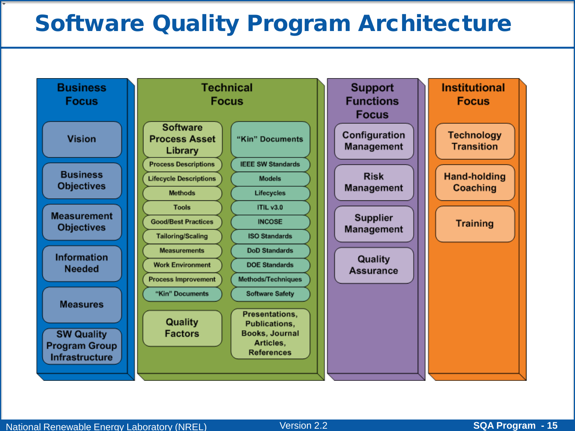### Software Quality Program Architecture

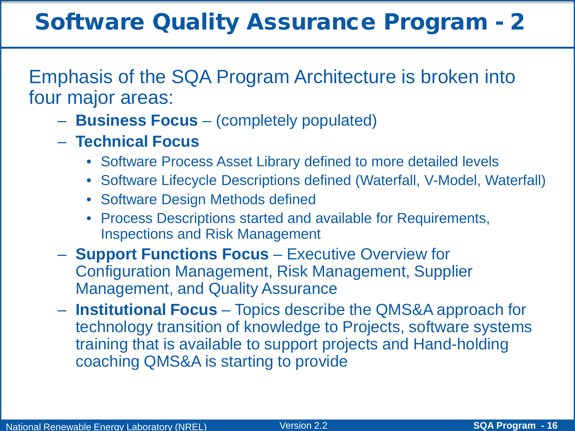### Software Quality Assurance Program - 2

Emphasis of the SQA Program Architecture is broken into four major areas:

- **Business Focus**  (completely populated)
- **Technical Focus**
	- Software Process Asset Library defined to more detailed levels
	- Software Lifecycle Descriptions defined (Waterfall, V-Model, Waterfall)
	- Software Design Methods defined
	- Process Descriptions started and available for Requirements, Inspections and Risk Management
- **Support Functions Focus**  Executive Overview for Configuration Management, Risk Management, Supplier Management, and Quality Assurance
- **Institutional Focus**  Topics describe the QMS&A approach for technology transition of knowledge to Projects, software systems training that is available to support projects and Hand-holding coaching QMS&A is starting to provide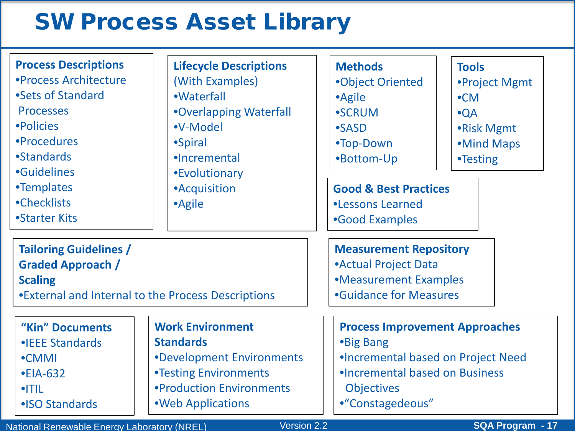### SW Process Asset Library

| <b>Process Descriptions</b><br>•Process Architecture<br>•Sets of Standard<br><b>Processes</b><br>•Policies<br>•Procedures<br>•Standards<br><b>•Guidelines</b><br>•Templates<br>•Checklists<br>•Starter Kits | <b>Lifecycle Descriptions</b><br>(With Examples)<br>·Waterfall<br><b>.</b> Overlapping Waterfall<br>•V-Model<br>•Spiral<br>·Incremental<br><b>•Evolutionary</b><br><b>•Acquisition</b><br>•Agile | <b>Methods</b><br>•Object Oriented<br>•Agile<br><b>•SCRUM</b><br><b>•SASD</b><br>•Top-Down<br>•Bottom-Up<br><b>Good &amp; Best Practices</b><br><b>.Lessons Learned</b><br>•Good Examples | <b>Tools</b><br>•Project Mgmt<br>$\bullet$ CM<br>$\bullet$ QA<br>•Risk Mgmt<br>•Mind Maps<br><b>•Testing</b>         |  |
|-------------------------------------------------------------------------------------------------------------------------------------------------------------------------------------------------------------|--------------------------------------------------------------------------------------------------------------------------------------------------------------------------------------------------|-------------------------------------------------------------------------------------------------------------------------------------------------------------------------------------------|----------------------------------------------------------------------------------------------------------------------|--|
| <b>Tailoring Guidelines /</b><br><b>Graded Approach /</b><br><b>Scaling</b><br>•External and Internal to the Process Descriptions                                                                           |                                                                                                                                                                                                  | <b>Measurement Repository</b><br><b>•Actual Project Data</b><br>•Measurement Examples<br><b>•Guidance for Measures</b>                                                                    |                                                                                                                      |  |
| "Kin" Documents<br>• <b>IEEE</b> Standards<br>•CMMI<br>$\cdot$ EIA-632<br> T L<br>• ISO Standards                                                                                                           | <b>Work Environment</b><br><b>Standards</b><br>•Development Environments<br><b>•Testing Environments</b><br>•Production Environments<br>.Web Applications                                        | •Big Bang<br><b>Objectives</b><br>•"Constagedeous"                                                                                                                                        | <b>Process Improvement Approaches</b><br>.Incremental based on Project Need<br><b>•Incremental based on Business</b> |  |

National Renewable Energy Laboratory (NREL) Version 2.2 **SQA Program SQA Program - 17 - 17**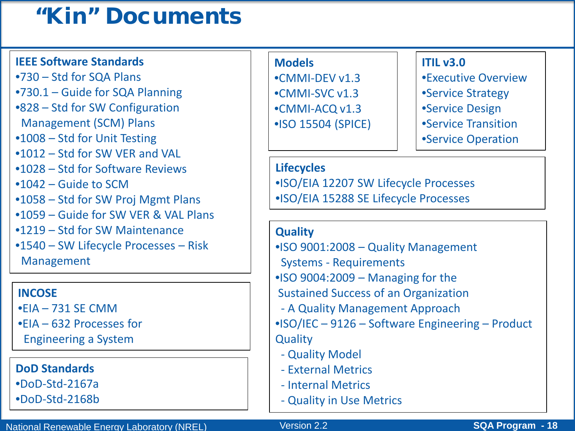### "Kin" Documents

#### **IEEE Software Standards**

•730 – Std for SQA Plans •730.1 – Guide for SQA Planning •828 – Std for SW Configuration Management (SCM) Plans •1008 – Std for Unit Testing •1012 – Std for SW VER and VAL •1028 – Std for Software Reviews •1042 – Guide to SCM •1058 – Std for SW Proj Mgmt Plans •1059 – Guide for SW VER & VAL Plans •1219 – Std for SW Maintenance •1540 – SW Lifecycle Processes – Risk Management

#### **INCOSE**

- •EIA 731 SE CMM
- •EIA 632 Processes for
- Engineering a System

#### **DoD Standards**

•DoD-Std-2167a

•DoD-Std-2168b

#### **Models**

•CMMI-DEV v1.3 •CMMI-SVC v1.3 •CMMI-ACQ v1.3 •ISO 15504 (SPICE)

#### **ITIL v3.0**

- •Executive Overview
- •Service Strategy
- •Service Design
- •Service Transition
- •Service Operation

#### **Lifecycles**

•ISO/EIA 12207 SW Lifecycle Processes •ISO/EIA 15288 SE Lifecycle Processes

#### **Quality**

- •ISO 9001:2008 Quality Management
- Systems Requirements
- •ISO 9004:2009 Managing for the
- Sustained Success of an Organization
- A Quality Management Approach

•ISO/IEC – 9126 – Software Engineering – Product **Quality** 

- Quality Model
- External Metrics
- Internal Metrics
- Quality in Use Metrics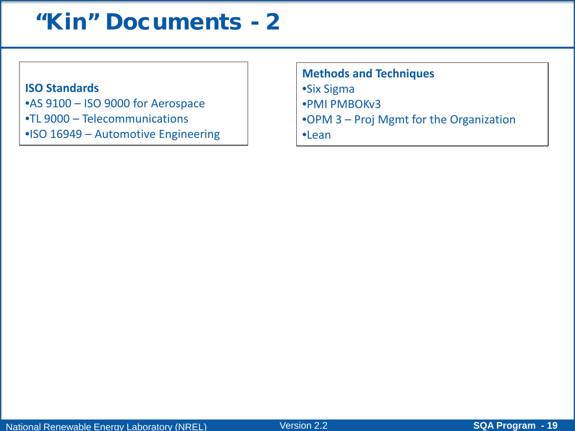### "Kin" Documents - 2

#### **ISO Standards**

•AS 9100 – ISO 9000 for Aerospace •TL 9000 – Telecommunications

•ISO 16949 – Automotive Engineering

**Methods and Techniques** •Six Sigma •PMI PMBOKv3 •OPM 3 – Proj Mgmt for the Organization •Lean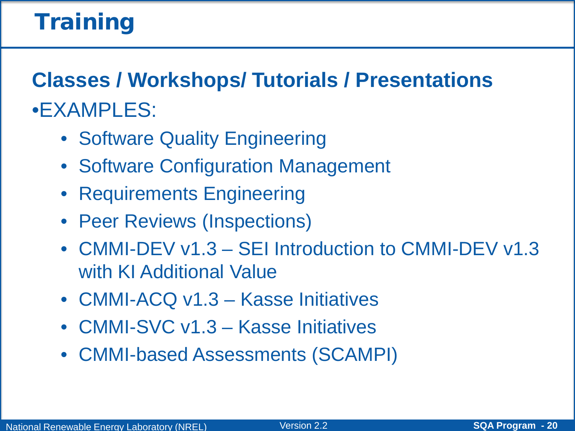## **Training**

**Classes / Workshops/ Tutorials / Presentations** •EXAMPLES:

- Software Quality Engineering
- Software Configuration Management
- Requirements Engineering
- Peer Reviews (Inspections)
- CMMI-DEV v1.3 SEI Introduction to CMMI-DEV v1.3 with KI Additional Value
- CMMI-ACQ v1.3 Kasse Initiatives
- CMMI-SVC v1.3 Kasse Initiatives
- CMMI-based Assessments (SCAMPI)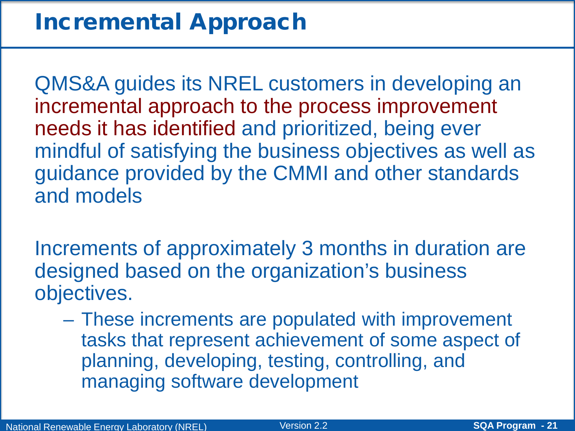QMS&A guides its NREL customers in developing an incremental approach to the process improvement needs it has identified and prioritized, being ever mindful of satisfying the business objectives as well as guidance provided by the CMMI and other standards and models

Increments of approximately 3 months in duration are designed based on the organization's business objectives.

– These increments are populated with improvement tasks that represent achievement of some aspect of planning, developing, testing, controlling, and managing software development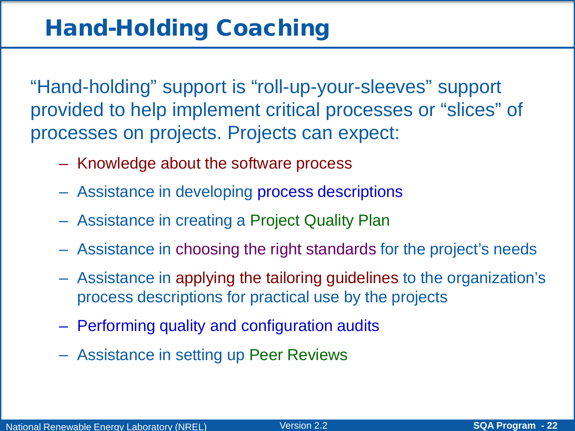"Hand-holding" support is "roll-up-your-sleeves" support provided to help implement critical processes or "slices" of processes on projects. Projects can expect:

- Knowledge about the software process
- Assistance in developing process descriptions
- Assistance in creating a Project Quality Plan
- Assistance in choosing the right standards for the project's needs
- Assistance in applying the tailoring guidelines to the organization's process descriptions for practical use by the projects
- Performing quality and configuration audits
- Assistance in setting up Peer Reviews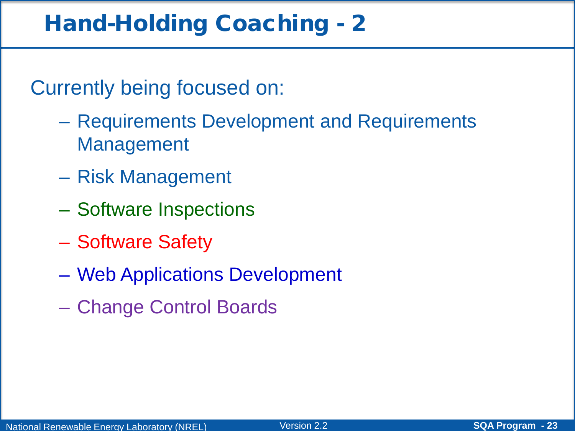### Hand-Holding Coaching - 2

Currently being focused on:

- Requirements Development and Requirements Management
- Risk Management
- Software Inspections
- Software Safety
- Web Applications Development
- Change Control Boards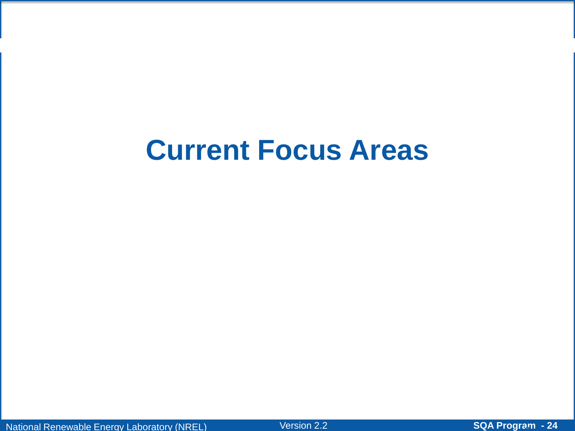# **Current Focus Areas**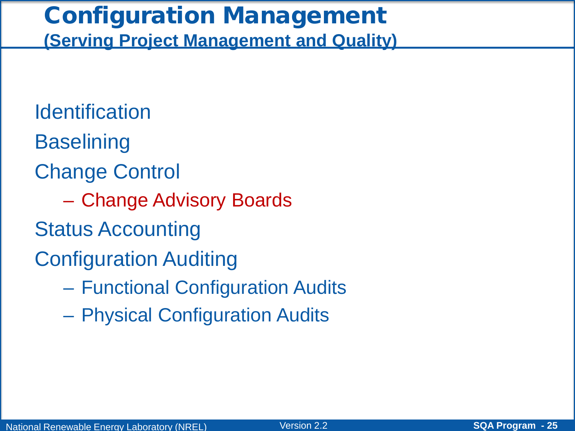### Configuration Management **(Serving Project Management and Quality)**

**Identification Baselining** Change Control – Change Advisory Boards Status Accounting Configuration Auditing

- Functional Configuration Audits
- Physical Configuration Audits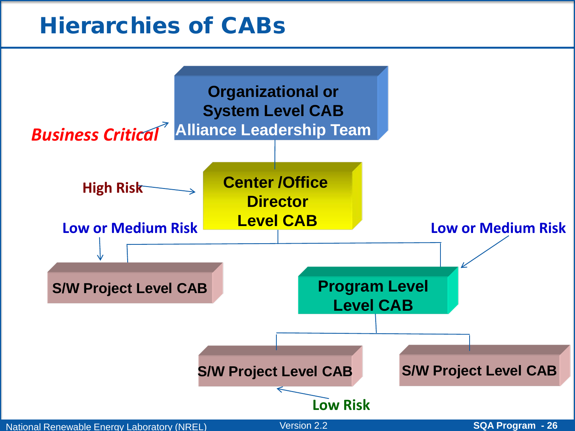### Hierarchies of CABs

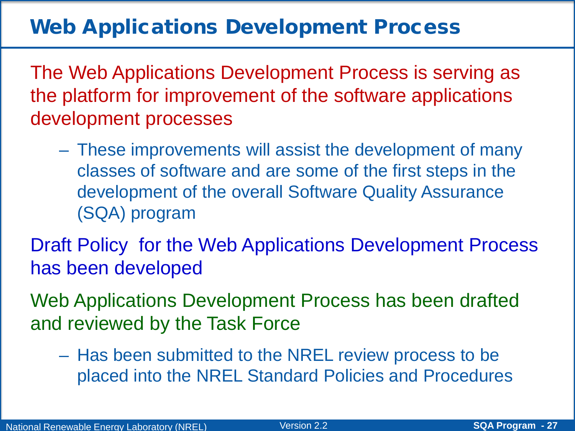### Web Applications Development Process

The Web Applications Development Process is serving as the platform for improvement of the software applications development processes

– These improvements will assist the development of many classes of software and are some of the first steps in the development of the overall Software Quality Assurance (SQA) program

Draft Policy for the Web Applications Development Process has been developed

Web Applications Development Process has been drafted and reviewed by the Task Force

– Has been submitted to the NREL review process to be placed into the NREL Standard Policies and Procedures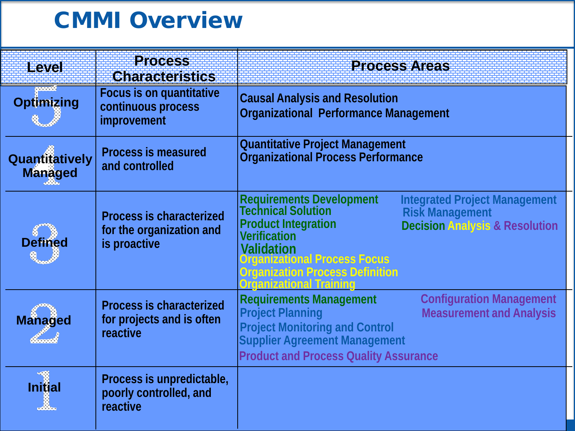### CMMI Overview

| <b>Level</b>                                     | <b>Process</b><br><b>Characteristics</b>                                    | <b>Process Areas</b>                                                                                                                                                                                                                                                                                                                        |
|--------------------------------------------------|-----------------------------------------------------------------------------|---------------------------------------------------------------------------------------------------------------------------------------------------------------------------------------------------------------------------------------------------------------------------------------------------------------------------------------------|
| <u> Estados de S</u><br><b>Optimizing</b><br>Q., | <b>Focus is on quantitative</b><br>continuous process<br>improvement        | <b>Causal Analysis and Resolution</b><br><b>Organizational Performance Management</b>                                                                                                                                                                                                                                                       |
| Quantitatively<br><b>Managed</b>                 | <b>Process is measured</b><br>and controlled                                | <b>Quantitative Project Management</b><br><b>Organizational Process Performance</b>                                                                                                                                                                                                                                                         |
| <b>Defined</b>                                   | <b>Process is characterized</b><br>for the organization and<br>is proactive | <b>Requirements Development</b><br>Technical Solution<br><b>Integrated Project Management</b><br><b>Risk Management</b><br><b>Product Integration</b><br><b>Decision Analysis &amp; Resolution</b><br><b>Verification</b><br><b>Validation<br/>Organizational Process Focus</b><br>Organization Process Definition<br>rqanizational Trainin |
| <b>Managed</b><br><b>START</b>                   | <b>Process is characterized</b><br>for projects and is often<br>reactive    | <b>Configuration Management</b><br><b>Requirements Management</b><br><b>Project Planning</b><br><b>Measurement and Analysis</b><br><b>Project Monitoring and Control</b><br><b>Supplier Agreement Management</b><br><b>Product and Process Quality Assurance</b>                                                                            |
| -41<br><b>Initial</b>                            | Process is unpredictable,<br>poorly controlled, and<br>reactive             |                                                                                                                                                                                                                                                                                                                                             |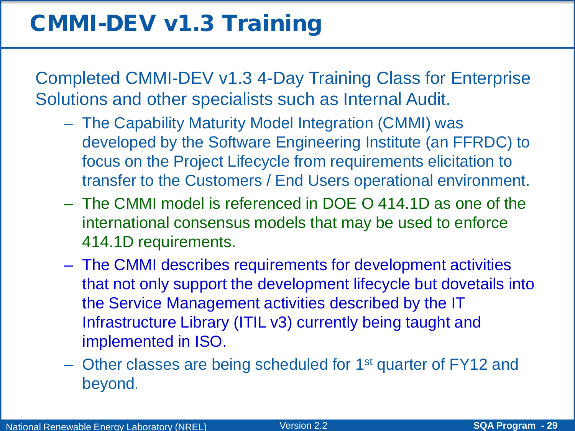### CMMI-DEV v1.3 Training

Completed CMMI-DEV v1.3 4-Day Training Class for Enterprise Solutions and other specialists such as Internal Audit.

- The Capability Maturity Model Integration (CMMI) was developed by the Software Engineering Institute (an FFRDC) to focus on the Project Lifecycle from requirements elicitation to transfer to the Customers / End Users operational environment.
- The CMMI model is referenced in DOE O 414.1D as one of the international consensus models that may be used to enforce 414.1D requirements.
- The CMMI describes requirements for development activities that not only support the development lifecycle but dovetails into the Service Management activities described by the IT Infrastructure Library (ITIL v3) currently being taught and implemented in ISO.
- Other classes are being scheduled for 1st quarter of FY12 and beyond.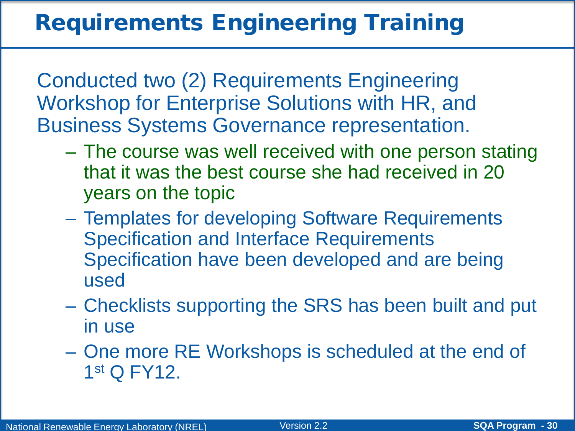Conducted two (2) Requirements Engineering Workshop for Enterprise Solutions with HR, and Business Systems Governance representation.

- The course was well received with one person stating that it was the best course she had received in 20 years on the topic
- Templates for developing Software Requirements Specification and Interface Requirements Specification have been developed and are being used
- Checklists supporting the SRS has been built and put in use
- One more RE Workshops is scheduled at the end of 1st Q FY12.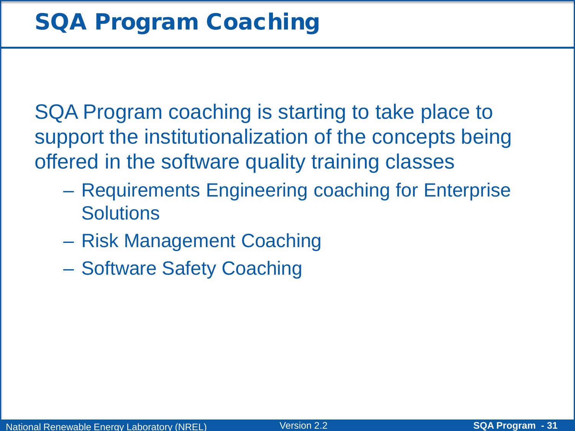SQA Program coaching is starting to take place to support the institutionalization of the concepts being offered in the software quality training classes

- Requirements Engineering coaching for Enterprise **Solutions**
- Risk Management Coaching
- Software Safety Coaching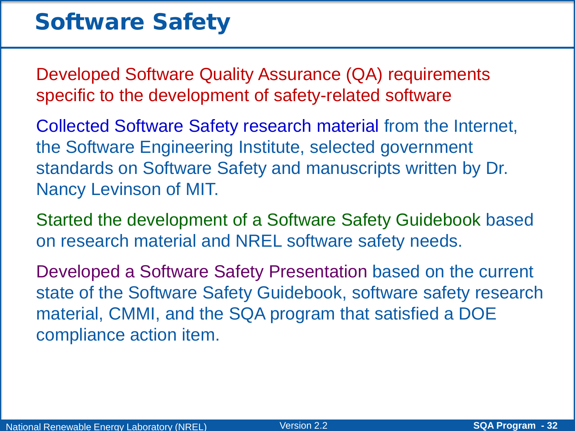### Software Safety

Developed Software Quality Assurance (QA) requirements specific to the development of safety-related software

Collected Software Safety research material from the Internet, the Software Engineering Institute, selected government standards on Software Safety and manuscripts written by Dr. Nancy Levinson of MIT.

Started the development of a Software Safety Guidebook based on research material and NREL software safety needs.

Developed a Software Safety Presentation based on the current state of the Software Safety Guidebook, software safety research material, CMMI, and the SQA program that satisfied a DOE compliance action item.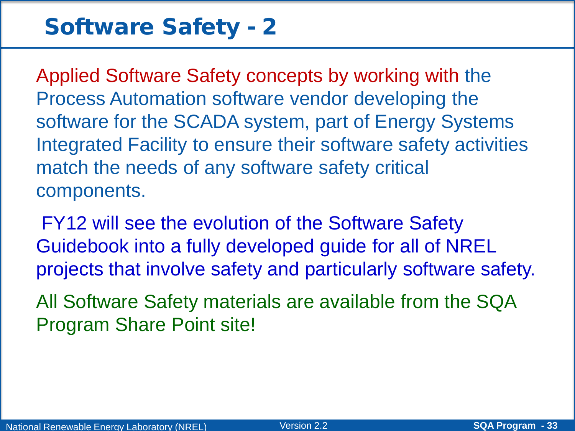### Software Safety - 2

Applied Software Safety concepts by working with the Process Automation software vendor developing the software for the SCADA system, part of Energy Systems Integrated Facility to ensure their software safety activities match the needs of any software safety critical components.

FY12 will see the evolution of the Software Safety Guidebook into a fully developed guide for all of NREL projects that involve safety and particularly software safety.

All Software Safety materials are available from the SQA Program Share Point site!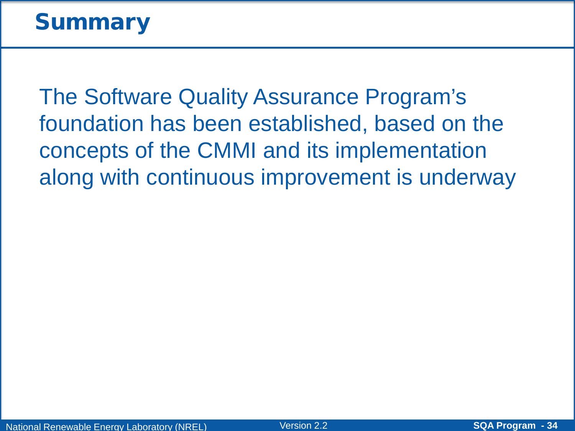### **Summary**

The Software Quality Assurance Program's foundation has been established, based on the concepts of the CMMI and its implementation along with continuous improvement is underway